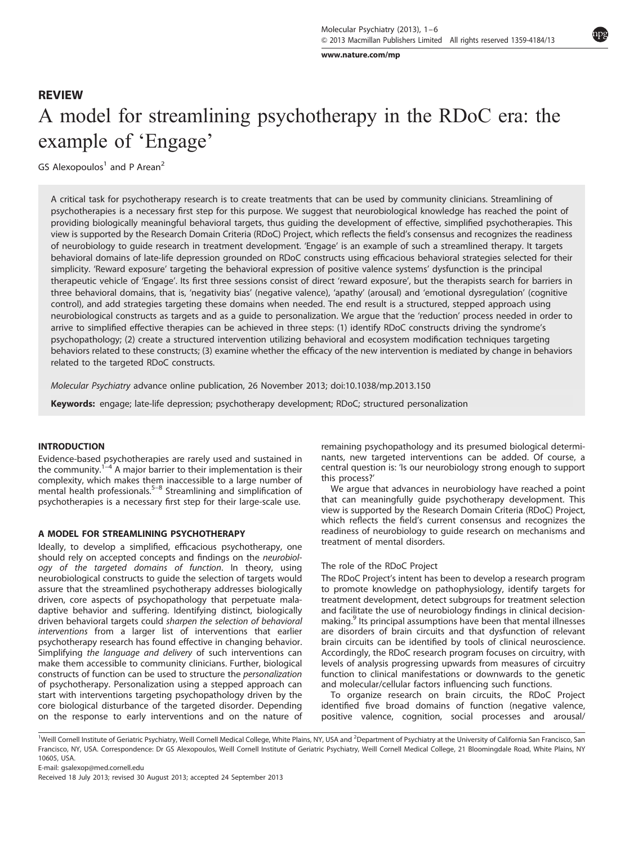[www.nature.com/mp](http://www.nature.com/mp)

# REVIEW

# A model for streamlining psychotherapy in the RDoC era: the example of 'Engage'

GS Alexopoulos<sup>1</sup> and P Arean<sup>2</sup>

A critical task for psychotherapy research is to create treatments that can be used by community clinicians. Streamlining of psychotherapies is a necessary first step for this purpose. We suggest that neurobiological knowledge has reached the point of providing biologically meaningful behavioral targets, thus guiding the development of effective, simplified psychotherapies. This view is supported by the Research Domain Criteria (RDoC) Project, which reflects the field's consensus and recognizes the readiness of neurobiology to guide research in treatment development. 'Engage' is an example of such a streamlined therapy. It targets behavioral domains of late-life depression grounded on RDoC constructs using efficacious behavioral strategies selected for their simplicity. 'Reward exposure' targeting the behavioral expression of positive valence systems' dysfunction is the principal therapeutic vehicle of 'Engage'. Its first three sessions consist of direct 'reward exposure', but the therapists search for barriers in three behavioral domains, that is, 'negativity bias' (negative valence), 'apathy' (arousal) and 'emotional dysregulation' (cognitive control), and add strategies targeting these domains when needed. The end result is a structured, stepped approach using neurobiological constructs as targets and as a guide to personalization. We argue that the 'reduction' process needed in order to arrive to simplified effective therapies can be achieved in three steps: (1) identify RDoC constructs driving the syndrome's psychopathology; (2) create a structured intervention utilizing behavioral and ecosystem modification techniques targeting behaviors related to these constructs; (3) examine whether the efficacy of the new intervention is mediated by change in behaviors related to the targeted RDoC constructs.

Molecular Psychiatry advance online publication, 26 November 2013; doi[:10.1038/mp.2013.150](http://dx.doi.org/10.1038/mp.2013.150)

Keywords: engage; late-life depression; psychotherapy development; RDoC; structured personalization

#### INTRODUCTION

Evidence-based psychotherapies are rarely used and sustained in the community.<sup>[1–4](#page-4-0)</sup> A major barrier to their implementation is their complexity, which makes them inaccessible to a large number of mental health professionals.<sup>5-8</sup> Streamlining and simplification of psychotherapies is a necessary first step for their large-scale use.

#### A MODEL FOR STREAMLINING PSYCHOTHERAPY

Ideally, to develop a simplified, efficacious psychotherapy, one should rely on accepted concepts and findings on the neurobiology of the targeted domains of function. In theory, using neurobiological constructs to guide the selection of targets would assure that the streamlined psychotherapy addresses biologically driven, core aspects of psychopathology that perpetuate maladaptive behavior and suffering. Identifying distinct, biologically driven behavioral targets could sharpen the selection of behavioral interventions from a larger list of interventions that earlier psychotherapy research has found effective in changing behavior. Simplifying the language and delivery of such interventions can make them accessible to community clinicians. Further, biological constructs of function can be used to structure the personalization of psychotherapy. Personalization using a stepped approach can start with interventions targeting psychopathology driven by the core biological disturbance of the targeted disorder. Depending on the response to early interventions and on the nature of remaining psychopathology and its presumed biological determinants, new targeted interventions can be added. Of course, a central question is: 'Is our neurobiology strong enough to support this process?'

We argue that advances in neurobiology have reached a point that can meaningfully guide psychotherapy development. This view is supported by the Research Domain Criteria (RDoC) Project, which reflects the field's current consensus and recognizes the readiness of neurobiology to guide research on mechanisms and treatment of mental disorders.

#### The role of the RDoC Project

The RDoC Project's intent has been to develop a research program to promote knowledge on pathophysiology, identify targets for treatment development, detect subgroups for treatment selection and facilitate the use of neurobiology findings in clinical decision-making.<sup>[9](#page-4-0)</sup> Its principal assumptions have been that mental illnesses are disorders of brain circuits and that dysfunction of relevant brain circuits can be identified by tools of clinical neuroscience. Accordingly, the RDoC research program focuses on circuitry, with levels of analysis progressing upwards from measures of circuitry function to clinical manifestations or downwards to the genetic and molecular/cellular factors influencing such functions.

To organize research on brain circuits, the RDoC Project identified five broad domains of function (negative valence, positive valence, cognition, social processes and arousal/

<sup>1</sup>Weill Cornell Institute of Geriatric Psychiatry, Weill Cornell Medical College, White Plains, NY, USA and <sup>2</sup>Department of Psychiatry at the University of California San Francisco, San Francisco, NY, USA. Correspondence: Dr GS Alexopoulos, Weill Cornell Institute of Geriatric Psychiatry, Weill Cornell Medical College, 21 Bloomingdale Road, White Plains, NY 10605, USA.

E-mail: [gsalexop@med.cornell.edu](mailto:gsalexop@med.cornell.edu)

Received 18 July 2013; revised 30 August 2013; accepted 24 September 2013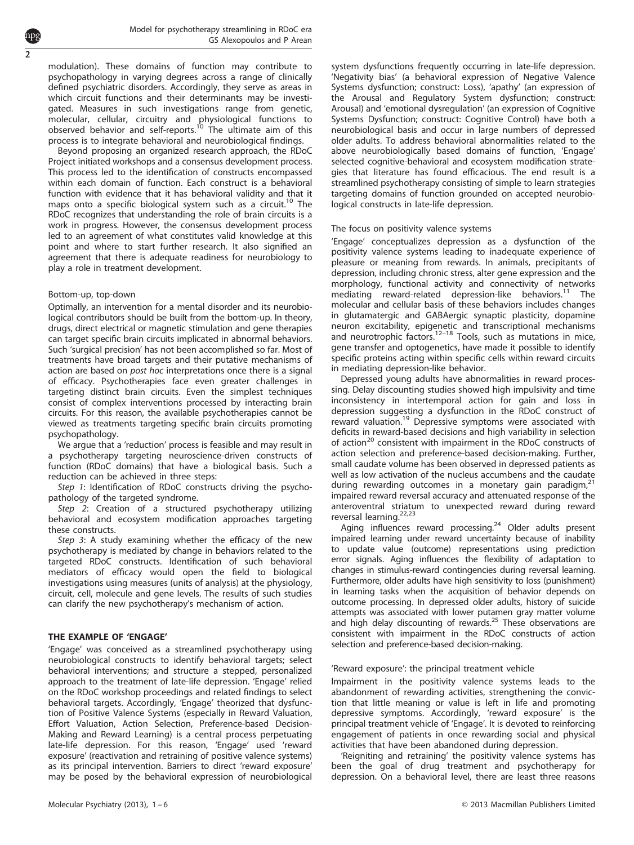modulation). These domains of function may contribute to psychopathology in varying degrees across a range of clinically defined psychiatric disorders. Accordingly, they serve as areas in which circuit functions and their determinants may be investigated. Measures in such investigations range from genetic, molecular, cellular, circuitry and physiological functions to observed behavior and self-reports.[10](#page-4-0) The ultimate aim of this process is to integrate behavioral and neurobiological findings.

Beyond proposing an organized research approach, the RDoC Project initiated workshops and a consensus development process. This process led to the identification of constructs encompassed within each domain of function. Each construct is a behavioral function with evidence that it has behavioral validity and that it maps onto a specific biological system such as a circuit.<sup>[10](#page-4-0)</sup> The RDoC recognizes that understanding the role of brain circuits is a work in progress. However, the consensus development process led to an agreement of what constitutes valid knowledge at this point and where to start further research. It also signified an agreement that there is adequate readiness for neurobiology to play a role in treatment development.

#### Bottom-up, top-down

Optimally, an intervention for a mental disorder and its neurobiological contributors should be built from the bottom-up. In theory, drugs, direct electrical or magnetic stimulation and gene therapies can target specific brain circuits implicated in abnormal behaviors. Such 'surgical precision' has not been accomplished so far. Most of treatments have broad targets and their putative mechanisms of action are based on post hoc interpretations once there is a signal of efficacy. Psychotherapies face even greater challenges in targeting distinct brain circuits. Even the simplest techniques consist of complex interventions processed by interacting brain circuits. For this reason, the available psychotherapies cannot be viewed as treatments targeting specific brain circuits promoting psychopathology.

We argue that a 'reduction' process is feasible and may result in a psychotherapy targeting neuroscience-driven constructs of function (RDoC domains) that have a biological basis. Such a reduction can be achieved in three steps:

Step 1: Identification of RDoC constructs driving the psychopathology of the targeted syndrome.

Step 2: Creation of a structured psychotherapy utilizing behavioral and ecosystem modification approaches targeting these constructs.

Step 3: A study examining whether the efficacy of the new psychotherapy is mediated by change in behaviors related to the targeted RDoC constructs. Identification of such behavioral mediators of efficacy would open the field to biological investigations using measures (units of analysis) at the physiology, circuit, cell, molecule and gene levels. The results of such studies can clarify the new psychotherapy's mechanism of action.

# THE EXAMPLE OF 'ENGAGE'

'Engage' was conceived as a streamlined psychotherapy using neurobiological constructs to identify behavioral targets; select behavioral interventions; and structure a stepped, personalized approach to the treatment of late-life depression. 'Engage' relied on the RDoC workshop proceedings and related findings to select behavioral targets. Accordingly, 'Engage' theorized that dysfunction of Positive Valence Systems (especially in Reward Valuation, Effort Valuation, Action Selection, Preference-based Decision-Making and Reward Learning) is a central process perpetuating late-life depression. For this reason, 'Engage' used 'reward exposure' (reactivation and retraining of positive valence systems) as its principal intervention. Barriers to direct 'reward exposure' may be posed by the behavioral expression of neurobiological

system dysfunctions frequently occurring in late-life depression. 'Negativity bias' (a behavioral expression of Negative Valence Systems dysfunction; construct: Loss), 'apathy' (an expression of the Arousal and Regulatory System dysfunction; construct: Arousal) and 'emotional dysregulation' (an expression of Cognitive Systems Dysfunction; construct: Cognitive Control) have both a neurobiological basis and occur in large numbers of depressed older adults. To address behavioral abnormalities related to the above neurobiologically based domains of function, 'Engage' selected cognitive-behavioral and ecosystem modification strategies that literature has found efficacious. The end result is a streamlined psychotherapy consisting of simple to learn strategies targeting domains of function grounded on accepted neurobiological constructs in late-life depression.

#### The focus on positivity valence systems

'Engage' conceptualizes depression as a dysfunction of the positivity valence systems leading to inadequate experience of pleasure or meaning from rewards. In animals, precipitants of depression, including chronic stress, alter gene expression and the morphology, functional activity and connectivity of networks mediating reward-related depression-like behaviors.<sup>[11](#page-4-0)</sup> The molecular and cellular basis of these behaviors includes changes in glutamatergic and GABAergic synaptic plasticity, dopamine neuron excitability, epigenetic and transcriptional mechanisms and neurotrophic factors.<sup>[12–18](#page-4-0)</sup> Tools, such as mutations in mice, gene transfer and optogenetics, have made it possible to identify specific proteins acting within specific cells within reward circuits in mediating depression-like behavior.

Depressed young adults have abnormalities in reward processing. Delay discounting studies showed high impulsivity and time inconsistency in intertemporal action for gain and loss in depression suggesting a dysfunction in the RDoC construct of reward valuation.[19](#page-4-0) Depressive symptoms were associated with deficits in reward-based decisions and high variability in selection of action<sup>[20](#page-4-0)</sup> consistent with impairment in the RDoC constructs of action selection and preference-based decision-making. Further, small caudate volume has been observed in depressed patients as well as low activation of the nucleus accumbens and the caudate during rewarding outcomes in a monetary gain paradigm, $2<sup>1</sup>$ impaired reward reversal accuracy and attenuated response of the anteroventral striatum to unexpected reward during reward reversal learning.<sup>[22,23](#page-4-0)</sup>

Aging influences reward processing.<sup>24</sup> Older adults present impaired learning under reward uncertainty because of inability to update value (outcome) representations using prediction error signals. Aging influences the flexibility of adaptation to changes in stimulus-reward contingencies during reversal learning. Furthermore, older adults have high sensitivity to loss (punishment) in learning tasks when the acquisition of behavior depends on outcome processing. In depressed older adults, history of suicide attempts was associated with lower putamen gray matter volume and high delay discounting of rewards.<sup>[25](#page-4-0)</sup> These observations are consistent with impairment in the RDoC constructs of action selection and preference-based decision-making.

# 'Reward exposure': the principal treatment vehicle

Impairment in the positivity valence systems leads to the abandonment of rewarding activities, strengthening the conviction that little meaning or value is left in life and promoting depressive symptoms. Accordingly, 'reward exposure' is the principal treatment vehicle of 'Engage'. It is devoted to reinforcing engagement of patients in once rewarding social and physical activities that have been abandoned during depression.

'Reigniting and retraining' the positivity valence systems has been the goal of drug treatment and psychotherapy for depression. On a behavioral level, there are least three reasons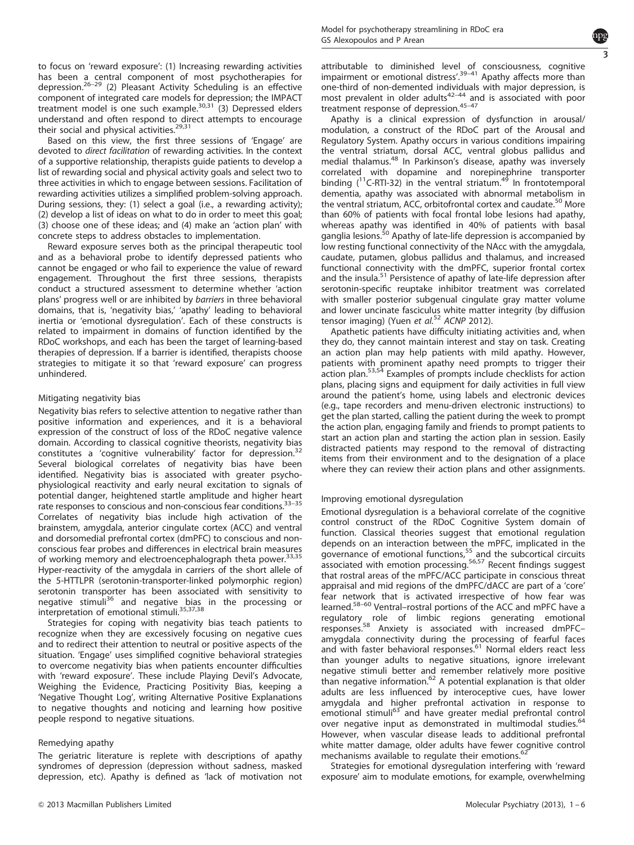

to focus on 'reward exposure': (1) Increasing rewarding activities has been a central component of most psychotherapies for depression.<sup>[26–29](#page-4-0)</sup> (2) Pleasant Activity Scheduling is an effective component of integrated care models for depression; the IMPACT treatment model is one such example.<sup>[30,31](#page-4-0)</sup> (3) Depressed elders understand and often respond to direct attempts to encourage<br>their social and physical activities.<sup>[29,31](#page-4-0)</sup>

Based on this view, the first three sessions of 'Engage' are devoted to direct facilitation of rewarding activities. In the context of a supportive relationship, therapists guide patients to develop a list of rewarding social and physical activity goals and select two to three activities in which to engage between sessions. Facilitation of rewarding activities utilizes a simplified problem-solving approach. During sessions, they: (1) select a goal (i.e., a rewarding activity); (2) develop a list of ideas on what to do in order to meet this goal; (3) choose one of these ideas; and (4) make an 'action plan' with concrete steps to address obstacles to implementation.

Reward exposure serves both as the principal therapeutic tool and as a behavioral probe to identify depressed patients who cannot be engaged or who fail to experience the value of reward engagement. Throughout the first three sessions, therapists conduct a structured assessment to determine whether 'action plans' progress well or are inhibited by barriers in three behavioral domains, that is, 'negativity bias,' 'apathy' leading to behavioral inertia or 'emotional dysregulation'. Each of these constructs is related to impairment in domains of function identified by the RDoC workshops, and each has been the target of learning-based therapies of depression. If a barrier is identified, therapists choose strategies to mitigate it so that 'reward exposure' can progress unhindered.

#### Mitigating negativity bias

Negativity bias refers to selective attention to negative rather than positive information and experiences, and it is a behavioral expression of the construct of loss of the RDoC negative valence domain. According to classical cognitive theorists, negativity bias constitutes a 'cognitive vulnerability' factor for depression.<sup>[32](#page-4-0)</sup> Several biological correlates of negativity bias have been identified. Negativity bias is associated with greater psychophysiological reactivity and early neural excitation to signals of potential danger, heightened startle amplitude and higher heart rate responses to conscious and non-conscious fear conditions[.33–35](#page-4-0) Correlates of negativity bias include high activation of the brainstem, amygdala, anterior cingulate cortex (ACC) and ventral and dorsomedial prefrontal cortex (dmPFC) to conscious and nonconscious fear probes and differences in electrical brain measures of working memory and electroencephalograph theta power.<sup>[33,35](#page-4-0)</sup> Hyper-reactivity of the amygdala in carriers of the short allele of the 5-HTTLPR (serotonin-transporter-linked polymorphic region) serotonin transporter has been associated with sensitivity to negative stimuli<sup>[36](#page-4-0)</sup> and negative bias in the processing or interpretation of emotional stimuli.[35,37,38](#page-4-0)

Strategies for coping with negativity bias teach patients to recognize when they are excessively focusing on negative cues and to redirect their attention to neutral or positive aspects of the situation. 'Engage' uses simplified cognitive behavioral strategies to overcome negativity bias when patients encounter difficulties with 'reward exposure'. These include Playing Devil's Advocate, Weighing the Evidence, Practicing Positivity Bias, keeping a 'Negative Thought Log', writing Alternative Positive Explanations to negative thoughts and noticing and learning how positive people respond to negative situations.

# Remedying apathy

The geriatric literature is replete with descriptions of apathy syndromes of depression (depression without sadness, masked depression, etc). Apathy is defined as 'lack of motivation not attributable to diminished level of consciousness, cognitive<br>impairment or emotional distress'.<sup>[39–41](#page-4-0)</sup> Apathy affects more than one-third of non-demented individuals with major depression, is<br>most prevalent in older adults<sup>[42–44](#page-5-0)</sup> and is associated with poor treatment response of depression.<sup>45-47</sup>

Apathy is a clinical expression of dysfunction in arousal/ modulation, a construct of the RDoC part of the Arousal and Regulatory System. Apathy occurs in various conditions impairing the ventral striatum, dorsal ACC, ventral globus pallidus and medial thalamus.[48](#page-5-0) In Parkinson's disease, apathy was inversely correlated with dopamine and norepinephrine transporter binding  $(^{11}$ C-RTI-32) in the ventral striatum.<sup>49</sup> In frontotemporal dementia, apathy was associated with abnormal metabolism in the ventral striatum, ACC, orbitofrontal cortex and caudate.<sup>[50](#page-5-0)</sup> More than 60% of patients with focal frontal lobe lesions had apathy, whereas apathy was identified in 40% of patients with basal<br>ganglia lesions.<sup>[50](#page-5-0)</sup> Apathy of late-life depression is accompanied by low resting functional connectivity of the NAcc with the amygdala, caudate, putamen, globus pallidus and thalamus, and increased functional connectivity with the dmPFC, superior frontal cortex and the insula.<sup>[51](#page-5-0)</sup> Persistence of apathy of late-life depression after serotonin-specific reuptake inhibitor treatment was correlated with smaller posterior subgenual cingulate gray matter volume and lower uncinate fasciculus white matter integrity (by diffusion tensor imaging) (Yuen *et al.*<sup>[52](#page-5-0)</sup> ACNP 2012).

Apathetic patients have difficulty initiating activities and, when they do, they cannot maintain interest and stay on task. Creating an action plan may help patients with mild apathy. However, patients with prominent apathy need prompts to trigger their action plan.[53,54](#page-5-0) Examples of prompts include checklists for action plans, placing signs and equipment for daily activities in full view around the patient's home, using labels and electronic devices (e.g., tape recorders and menu-driven electronic instructions) to get the plan started, calling the patient during the week to prompt the action plan, engaging family and friends to prompt patients to start an action plan and starting the action plan in session. Easily distracted patients may respond to the removal of distracting items from their environment and to the designation of a place where they can review their action plans and other assignments.

# Improving emotional dysregulation

Emotional dysregulation is a behavioral correlate of the cognitive control construct of the RDoC Cognitive System domain of function. Classical theories suggest that emotional regulation depends on an interaction between the mPFC, implicated in the governance of emotional functions,<sup>[55](#page-5-0)</sup> and the subcortical circuits associated with emotion processing.<sup>[56,57](#page-5-0)</sup> Recent findings suggest that rostral areas of the mPFC/ACC participate in conscious threat appraisal and mid regions of the dmPFC/dACC are part of a 'core' fear network that is activated irrespective of how fear was learned.[58–60](#page-5-0) Ventral–rostral portions of the ACC and mPFC have a regulatory role of limbic regions generating emotional responses.[58](#page-5-0) Anxiety is associated with increased dmPFC– amygdala connectivity during the processing of fearful faces and with faster behavioral responses.<sup>[61](#page-5-0)</sup> Normal elders react less than younger adults to negative situations, ignore irrelevant negative stimuli better and remember relatively more positive<br>than negative information.<sup>[62](#page-5-0)</sup> A potential explanation is that older adults are less influenced by interoceptive cues, have lower amygdala and higher prefrontal activation in response to emotional stimuli<sup>63</sup> and have greater medial prefrontal control over negative input as demonstrated in multimodal studies.<sup>[64](#page-5-0)</sup> However, when vascular disease leads to additional prefrontal white matter damage, older adults have fewer cognitive control mechanisms available to regulate their emotions.<sup>6</sup>

Strategies for emotional dysregulation interfering with 'reward exposure' aim to modulate emotions, for example, overwhelming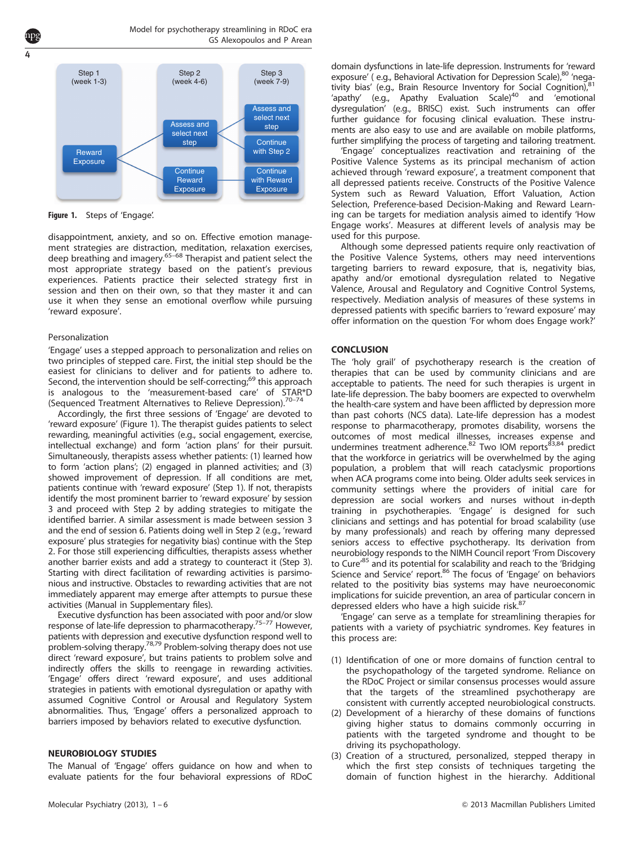

Figure 1. Steps of 'Engage'.

4

disappointment, anxiety, and so on. Effective emotion management strategies are distraction, meditation, relaxation exercises, deep breathing and imagery.<sup>[65–68](#page-5-0)</sup> Therapist and patient select the most appropriate strategy based on the patient's previous experiences. Patients practice their selected strategy first in session and then on their own, so that they master it and can use it when they sense an emotional overflow while pursuing 'reward exposure'.

# Personalization

'Engage' uses a stepped approach to personalization and relies on two principles of stepped care. First, the initial step should be the easiest for clinicians to deliver and for patients to adhere to. Second, the intervention should be self-correcting;<sup>[69](#page-5-0)</sup> this approach is analogous to the 'measurement-based care' of STAR\*D (Sequenced Treatment Alternatives to Relieve Depression).<sup>70-74</sup>

Accordingly, the first three sessions of 'Engage' are devoted to 'reward exposure' (Figure 1). The therapist guides patients to select rewarding, meaningful activities (e.g., social engagement, exercise, intellectual exchange) and form 'action plans' for their pursuit. Simultaneously, therapists assess whether patients: (1) learned how to form 'action plans'; (2) engaged in planned activities; and (3) showed improvement of depression. If all conditions are met, patients continue with 'reward exposure' (Step 1). If not, therapists identify the most prominent barrier to 'reward exposure' by session 3 and proceed with Step 2 by adding strategies to mitigate the identified barrier. A similar assessment is made between session 3 and the end of session 6. Patients doing well in Step 2 (e.g., 'reward exposure' plus strategies for negativity bias) continue with the Step 2. For those still experiencing difficulties, therapists assess whether another barrier exists and add a strategy to counteract it (Step 3). Starting with direct facilitation of rewarding activities is parsimonious and instructive. Obstacles to rewarding activities that are not immediately apparent may emerge after attempts to pursue these activities (Manual in Supplementary files).

Executive dysfunction has been associated with poor and/or slow<br>response of late-life depression to pharmacotherapy.<sup>[75–77](#page-5-0)</sup> However, patients with depression and executive dysfunction respond well to problem-solving therapy[.78,79](#page-5-0) Problem-solving therapy does not use direct 'reward exposure', but trains patients to problem solve and indirectly offers the skills to reengage in rewarding activities. 'Engage' offers direct 'reward exposure', and uses additional strategies in patients with emotional dysregulation or apathy with assumed Cognitive Control or Arousal and Regulatory System abnormalities. Thus, 'Engage' offers a personalized approach to barriers imposed by behaviors related to executive dysfunction.

# NEUROBIOLOGY STUDIES

The Manual of 'Engage' offers guidance on how and when to evaluate patients for the four behavioral expressions of RDoC domain dysfunctions in late-life depression. Instruments for 'reward exposure' ( e.g., Behavioral Activation for Depression Scale), <sup>[80](#page-5-0)</sup> 'negativity bias' (e.g., Brain Resource Inventory for Social Cognition), 'apathy' (e.g., Apathy Evaluation Scale)<sup>40</sup> and 'emotional dysregulation' (e.g., BRISC) exist. Such instruments can offer further guidance for focusing clinical evaluation. These instruments are also easy to use and are available on mobile platforms, further simplifying the process of targeting and tailoring treatment.

'Engage' conceptualizes reactivation and retraining of the Positive Valence Systems as its principal mechanism of action achieved through 'reward exposure', a treatment component that all depressed patients receive. Constructs of the Positive Valence System such as Reward Valuation, Effort Valuation, Action Selection, Preference-based Decision-Making and Reward Learning can be targets for mediation analysis aimed to identify 'How Engage works'. Measures at different levels of analysis may be used for this purpose.

Although some depressed patients require only reactivation of the Positive Valence Systems, others may need interventions targeting barriers to reward exposure, that is, negativity bias, apathy and/or emotional dysregulation related to Negative Valence, Arousal and Regulatory and Cognitive Control Systems, respectively. Mediation analysis of measures of these systems in depressed patients with specific barriers to 'reward exposure' may offer information on the question 'For whom does Engage work?'

#### **CONCLUSION**

The 'holy grail' of psychotherapy research is the creation of therapies that can be used by community clinicians and are acceptable to patients. The need for such therapies is urgent in late-life depression. The baby boomers are expected to overwhelm the health-care system and have been afflicted by depression more than past cohorts (NCS data). Late-life depression has a modest response to pharmacotherapy, promotes disability, worsens the outcomes of most medical illnesses, increases expense and undermines treatment adherence.<sup>82</sup> Two IOM reports<sup>[83,84](#page-5-0)</sup> predict that the workforce in geriatrics will be overwhelmed by the aging population, a problem that will reach cataclysmic proportions when ACA programs come into being. Older adults seek services in community settings where the providers of initial care for depression are social workers and nurses without in-depth training in psychotherapies. 'Engage' is designed for such clinicians and settings and has potential for broad scalability (use by many professionals) and reach by offering many depressed seniors access to effective psychotherapy. Its derivation from neurobiology responds to the NIMH Council report 'From Discovery to Cure<sup>['85](#page-5-0)</sup> and its potential for scalability and reach to the 'Bridging Science and Service' report.[86](#page-5-0) The focus of 'Engage' on behaviors related to the positivity bias systems may have neuroeconomic implications for suicide prevention, an area of particular concern in depressed elders who have a high suicide risk.<sup>87</sup>

'Engage' can serve as a template for streamlining therapies for patients with a variety of psychiatric syndromes. Key features in this process are:

- (1) Identification of one or more domains of function central to the psychopathology of the targeted syndrome. Reliance on the RDoC Project or similar consensus processes would assure that the targets of the streamlined psychotherapy are consistent with currently accepted neurobiological constructs.
- (2) Development of a hierarchy of these domains of functions giving higher status to domains commonly occurring in patients with the targeted syndrome and thought to be driving its psychopathology.
- (3) Creation of a structured, personalized, stepped therapy in which the first step consists of techniques targeting the domain of function highest in the hierarchy. Additional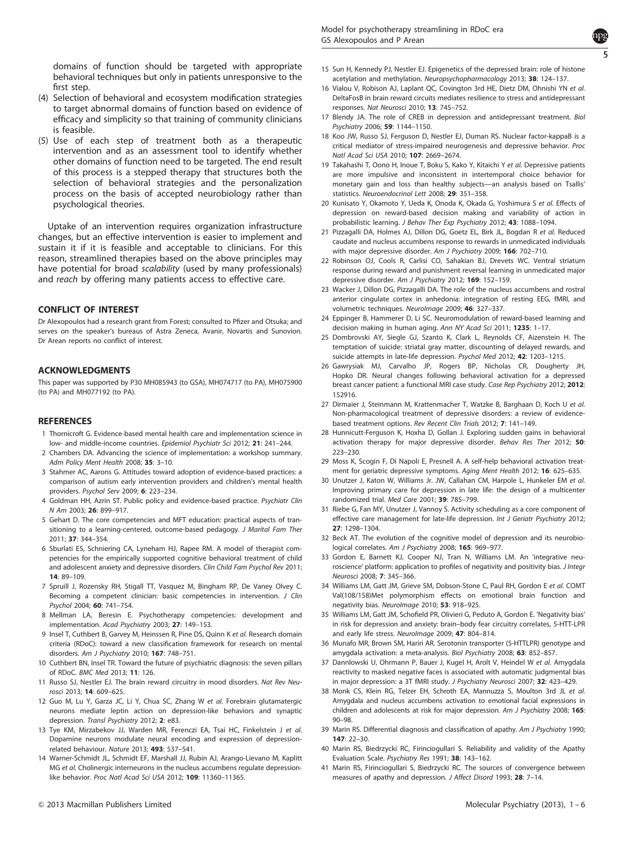

<span id="page-4-0"></span>domains of function should be targeted with appropriate behavioral techniques but only in patients unresponsive to the first step.

- (4) Selection of behavioral and ecosystem modification strategies to target abnormal domains of function based on evidence of efficacy and simplicity so that training of community clinicians is feasible.
- (5) Use of each step of treatment both as a therapeutic intervention and as an assessment tool to identify whether other domains of function need to be targeted. The end result of this process is a stepped therapy that structures both the selection of behavioral strategies and the personalization process on the basis of accepted neurobiology rather than psychological theories.

Uptake of an intervention requires organization infrastructure changes, but an effective intervention is easier to implement and sustain it if it is feasible and acceptable to clinicians. For this reason, streamlined therapies based on the above principles may have potential for broad scalability (used by many professionals) and reach by offering many patients access to effective care.

# CONFLICT OF INTEREST

Dr Alexopoulos had a research grant from Forest; consulted to Pfizer and Otsuka; and serves on the speaker's bureaus of Astra Zeneca, Avanir, Novartis and Sunovion. Dr Arean reports no conflict of interest.

# ACKNOWLEDGMENTS

This paper was supported by P30 MH085943 (to GSA), MH074717 (to PA), MH075900 (to PA) and MH077192 (to PA).

#### **REFERENCES**

- 1 Thornicroft G. Evidence-based mental health care and implementation science in low- and middle-income countries. Epidemiol Psychiatr Sci 2012; 21: 241–244.
- 2 Chambers DA. Advancing the science of implementation: a workshop summary. Adm Policy Ment Health 2008: 35: 3-10.
- 3 Stahmer AC, Aarons G. Attitudes toward adoption of evidence-based practices: a comparison of autism early intervention providers and children's mental health providers. Psychol Serv 2009; 6: 223–234.
- 4 Goldman HH, Azrin ST. Public policy and evidence-based practice. Psychiatr Clin N Am 2003; 26: 899–917.
- 5 Gehart D. The core competencies and MFT education: practical aspects of transitioning to a learning-centered, outcome-based pedagogy. J Marital Fam Ther 2011; 37: 344–354.
- 6 Sburlati ES, Schniering CA, Lyneham HJ, Rapee RM. A model of therapist competencies for the empirically supported cognitive behavioral treatment of child and adolescent anxiety and depressive disorders. Clin Child Fam Psychol Rev 2011; 14: 89–109.
- 7 Spruill J, Rozensky RH, Stigall TT, Vasquez M, Bingham RP, De Vaney Olvey C. Becoming a competent clinician: basic competencies in intervention. J Clin Psychol 2004; 60: 741–754.
- 8 Mellman LA, Beresin E. Psychotherapy competencies: development and implementation. Acad Psychiatry 2003; 27: 149–153.
- 9 Insel T, Cuthbert B, Garvey M, Heinssen R, Pine DS, Quinn K et al. Research domain criteria (RDoC): toward a new classification framework for research on mental disorders. Am J Psychiatry 2010; 167: 748–751.
- 10 Cuthbert BN, Insel TR. Toward the future of psychiatric diagnosis: the seven pillars of RDoC. BMC Med 2013; 11: 126.
- 11 Russo SJ, Nestler EJ. The brain reward circuitry in mood disorders. Nat Rev Neurosci 2013; 14: 609–625.
- 12 Guo M, Lu Y, Garza JC, Li Y, Chua SC, Zhang W et al. Forebrain glutamatergic neurons mediate leptin action on depression-like behaviors and synaptic depression. Transl Psychiatry 2012; 2: e83.
- 13 Tye KM, Mirzabekov JJ, Warden MR, Ferenczi EA, Tsai HC, Finkelstein J et al. Dopamine neurons modulate neural encoding and expression of depressionrelated behaviour. Nature 2013; 493: 537–541.
- 14 Warner-Schmidt JL, Schmidt EF, Marshall JJ, Rubin AJ, Arango-Lievano M, Kaplitt MG et al. Cholinergic interneurons in the nucleus accumbens regulate depressionlike behavior. Proc Natl Acad Sci USA 2012; 109: 11360-11365.
- 15 Sun H, Kennedy PJ, Nestler EJ. Epigenetics of the depressed brain: role of histone acetylation and methylation. Neuropsychopharmacology 2013; 38: 124–137.
- 16 Vialou V, Robison AJ, Laplant QC, Covington 3rd HE, Dietz DM, Ohnishi YN et al. DeltaFosB in brain reward circuits mediates resilience to stress and antidepressant responses. Nat Neurosci 2010; 13: 745–752.
- 17 Blendy JA. The role of CREB in depression and antidepressant treatment. Biol Psychiatry 2006; 59: 1144–1150.
- 18 Koo JW, Russo SJ, Ferguson D, Nestler EJ, Duman RS. Nuclear factor-kappaB is a critical mediator of stress-impaired neurogenesis and depressive behavior. Proc Natl Acad Sci USA 2010; 107: 2669–2674.
- 19 Takahashi T, Oono H, Inoue T, Boku S, Kako Y, Kitaichi Y et al. Depressive patients are more impulsive and inconsistent in intertemporal choice behavior for monetary gain and loss than healthy subjects—an analysis based on Tsallis' statistics. Neuroendocrinol Lett 2008; 29: 351–358.
- 20 Kunisato Y, Okamoto Y, Ueda K, Onoda K, Okada G, Yoshimura S et al. Effects of depression on reward-based decision making and variability of action in probabilistic learning. J Behav Ther Exp Psychiatry 2012; 43: 1088–1094.
- 21 Pizzagalli DA, Holmes AJ, Dillon DG, Goetz EL, Birk JL, Bogdan R et al. Reduced caudate and nucleus accumbens response to rewards in unmedicated individuals with major depressive disorder. Am J Psychiatry 2009: 166: 702-710.
- 22 Robinson OJ, Cools R, Carlisi CO, Sahakian BJ, Drevets WC. Ventral striatum response during reward and punishment reversal learning in unmedicated major depressive disorder. Am J Psychiatry 2012; 169: 152–159.
- 23 Wacker J, Dillon DG, Pizzagalli DA. The role of the nucleus accumbens and rostral anterior cingulate cortex in anhedonia: integration of resting EEG, fMRI, and volumetric techniques. NeuroImage 2009; 46: 327-337.
- 24 Eppinger B, Hammerer D, Li SC. Neuromodulation of reward-based learning and decision making in human aging. Ann NY Acad Sci 2011; 1235: 1–17.
- 25 Dombrovski AY, Siegle GJ, Szanto K, Clark L, Reynolds CF, Aizenstein H. The temptation of suicide: striatal gray matter, discounting of delayed rewards, and suicide attempts in late-life depression. Psychol Med 2012; 42: 1203–1215.
- 26 Gawrysiak MJ, Carvalho JP, Rogers BP, Nicholas CR, Dougherty JH, Hopko DR. Neural changes following behavioral activation for a depressed breast cancer patient: a functional MRI case study. Case Rep Psychiatry 2012; 2012: 152916.
- 27 Dirmaier J, Steinmann M, Krattenmacher T, Watzke B, Barghaan D, Koch U et al. Non-pharmacological treatment of depressive disorders: a review of evidencebased treatment options. Rev Recent Clin Trials 2012; 7: 141–149.
- 28 Hunnicutt-Ferguson K, Hoxha D, Gollan J. Exploring sudden gains in behavioral activation therapy for major depressive disorder. Behav Res Ther 2012; 50: 223–230.
- 29 Moss K, Scogin F, Di Napoli E, Presnell A. A self-help behavioral activation treatment for geriatric depressive symptoms. Aging Ment Health 2012; 16: 625-635.
- 30 Unutzer J, Katon W, Williams Jr. JW, Callahan CM, Harpole L, Hunkeler EM et al. Improving primary care for depression in late life: the design of a multicenter randomized trial. Med Care 2001; 39: 785–799.
- 31 Riebe G, Fan MY, Unutzer J, Vannoy S. Activity scheduling as a core component of effective care management for late-life depression. Int J Geriatr Psychiatry 2012; 27: 1298–1304.
- 32 Beck AT. The evolution of the cognitive model of depression and its neurobiological correlates. Am J Psychiatry 2008; 165: 969–977.
- 33 Gordon E, Barnett KJ, Cooper NJ, Tran N, Williams LM. An 'integrative neuroscience' platform: application to profiles of negativity and positivity bias. J Integr Neurosci 2008; 7: 345–366.
- 34 Williams LM, Gatt JM, Grieve SM, Dobson-Stone C, Paul RH, Gordon E et al. COMT Val(108/158)Met polymorphism effects on emotional brain function and negativity bias. NeuroImage 2010; 53: 918-925.
- 35 Williams LM, Gatt JM, Schofield PR, Olivieri G, Peduto A, Gordon E. 'Negativity bias' in risk for depression and anxiety: brain–body fear circuitry correlates, 5-HTT-LPR and early life stress. NeuroImage 2009: 47: 804-814.
- 36 Munafo MR, Brown SM, Hariri AR. Serotonin transporter (5-HTTLPR) genotype and amygdala activation: a meta-analysis. Biol Psychiatry 2008; 63: 852–857.
- 37 Dannlowski U, Ohrmann P, Bauer J, Kugel H, Arolt V, Heindel W et al. Amygdala reactivity to masked negative faces is associated with automatic judgmental bias in major depression: a 3T fMRI study. J Psychiatry Neurosci 2007; 32: 423-429.
- 38 Monk CS, Klein RG, Telzer EH, Schroth EA, Mannuzza S, Moulton 3rd JL et al. Amygdala and nucleus accumbens activation to emotional facial expressions in children and adolescents at risk for major depression. Am J Psychiatry 2008; 165: 90–98.
- 39 Marin RS. Differential diagnosis and classification of apathy. Am J Psychiatry 1990; 147: 22–30.
- 40 Marin RS, Biedrzycki RC, Firinciogullari S. Reliability and validity of the Apathy Evaluation Scale. Psychiatry Res 1991; 38: 143–162.
- 41 Marin RS, Firinciogullari S, Biedrzycki RC. The sources of convergence between measures of apathy and depression. J Affect Disord 1993; 28: 7–14.